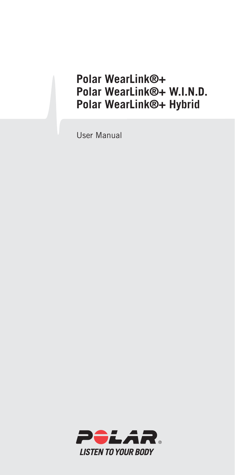## **Polar WearLink®+ Polar WearLink®+ W.I.N.D. Polar WearLink®+ Hybrid**

User Manual

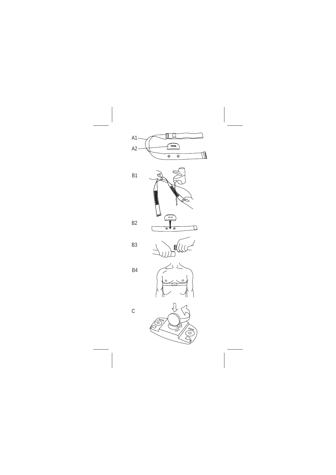







B2





 $\mathsf{C}$ 



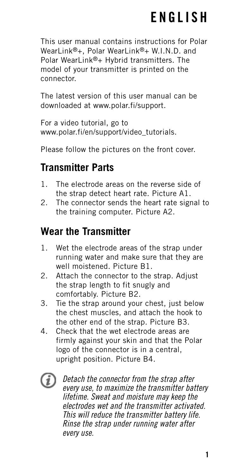## **ENGLISH**

This user manual contains instructions for Polar WearLink®+, Polar WearLink®+ W.I.N.D. and Polar WearLink®+ Hybrid transmitters. The model of your transmitter is printed on the connector.

The latest version of this user manual can be downloaded at www.polar.fi/support.

For a video tutorial, go to www.polar.fi/en/support/video\_tutorials.

Please follow the pictures on the front cover.

## **Transmitter Parts**

- 1. The electrode areas on the reverse side of the strap detect heart rate. Picture A1.
- 2. The connector sends the heart rate signal to the training computer. Picture A2.

## **Wear the Transmitter**

- 1. Wet the electrode areas of the strap under running water and make sure that they are well moistened. Picture B1.
- 2. Attach the connector to the strap. Adjust the strap length to fit snugly and comfortably. Picture B2.
- 3. Tie the strap around your chest, just below the chest muscles, and attach the hook to the other end of the strap. Picture B3.
- 4. Check that the wet electrode areas are firmly against your skin and that the Polar logo of the connector is in a central, upright position. Picture B4.
- E

Detach the connector from the strap after every use, to maximize the transmitter battery lifetime. Sweat and moisture may keep the electrodes wet and the transmitter activated. This will reduce the transmitter battery life. Rinse the strap under running water after every use.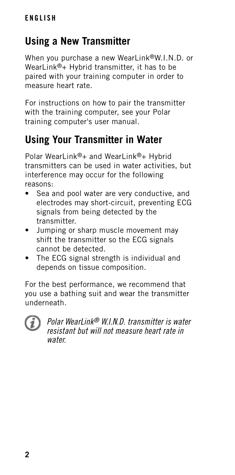## **Using a New Transmitter**

When you purchase a new WearLink®W.I.N.D. or WearLink®+ Hybrid transmitter, it has to be paired with your training computer in order to measure heart rate.

For instructions on how to pair the transmitter with the training computer, see your Polar training computer's user manual.

## **Using Your Transmitter in Water**

Polar WearLink®+ and WearLink®+ Hybrid transmitters can be used in water activities, but interference may occur for the following reasons:

- Sea and pool water are very conductive, and electrodes may short-circuit, preventing ECG signals from being detected by the transmitter.
- Jumping or sharp muscle movement may shift the transmitter so the ECG signals cannot be detected.
- The ECG signal strength is individual and depends on tissue composition.

For the best performance, we recommend that you use a bathing suit and wear the transmitter underneath.



Polar WearLink® W.I.N.D. transmitter is water resistant but will not measure heart rate in water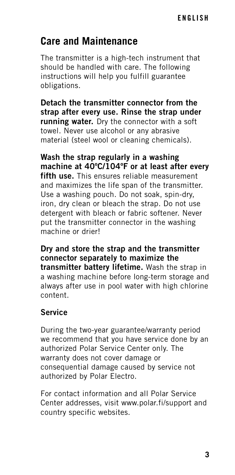### **Care and Maintenance**

The transmitter is a high-tech instrument that should be handled with care. The following instructions will help you fulfill guarantee obligations.

**Detach the transmitter connector from the strap after every use. Rinse the strap under running water.** Dry the connector with a soft towel. Never use alcohol or any abrasive material (steel wool or cleaning chemicals).

**Wash the strap regularly in a washing machine at 40ºC/104ºF or at least after every fifth use.** This ensures reliable measurement and maximizes the life span of the transmitter. Use a washing pouch. Do not soak, spin-dry, iron, dry clean or bleach the strap. Do not use detergent with bleach or fabric softener. Never put the transmitter connector in the washing machine or drier!

**Dry and store the strap and the transmitter connector separately to maximize the transmitter battery lifetime.** Wash the strap in a washing machine before long-term storage and always after use in pool water with high chlorine content.

#### **Service**

During the two-year guarantee/warranty period we recommend that you have service done by an authorized Polar Service Center only. The warranty does not cover damage or consequential damage caused by service not authorized by Polar Electro.

For contact information and all Polar Service Center addresses, visit www.polar.fi/support and country specific websites.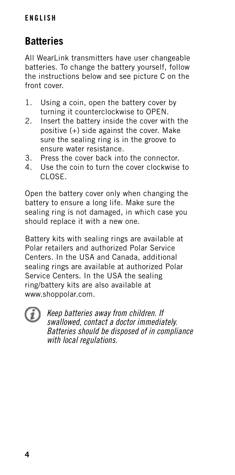#### **ENGLISH**

## **Batteries**

All WearLink transmitters have user changeable batteries. To change the battery yourself, follow the instructions below and see picture C on the front cover.

- 1. Using a coin, open the battery cover by turning it counterclockwise to OPEN.
- 2. Insert the battery inside the cover with the positive (+) side against the cover. Make sure the sealing ring is in the groove to ensure water resistance.
- 3. Press the cover back into the connector.
- 4. Use the coin to turn the cover clockwise to CLOSE.

Open the battery cover only when changing the battery to ensure a long life. Make sure the sealing ring is not damaged, in which case you should replace it with a new one.

Battery kits with sealing rings are available at Polar retailers and authorized Polar Service Centers. In the USA and Canada, additional sealing rings are available at authorized Polar Service Centers. In the USA the sealing ring/battery kits are also available at www.shoppolar.com.



Keep batteries away from children. If swallowed, contact a doctor immediately. Batteries should be disposed of in compliance with local regulations.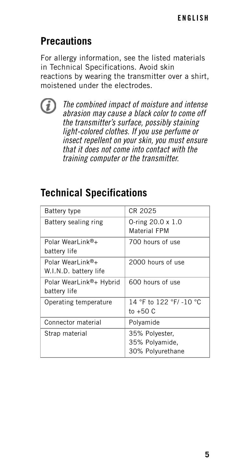## **Precautions**

For allergy information, see the listed materials in Technical Specifications. Avoid skin reactions by wearing the transmitter over a shirt, moistened under the electrodes.



The combined impact of moisture and intense abrasion may cause a black color to come off the transmitter's surface, possibly staining light-colored clothes. If you use perfume or insect repellent on your skin, you must ensure that it does not come into contact with the training computer or the transmitter.

## **Technical Specifications**

| <b>Battery type</b>                       | CR 2025                                              |
|-------------------------------------------|------------------------------------------------------|
| Battery sealing ring                      | 0-ring $20.0 \times 1.0$<br>Material FPM             |
| Polar WearLink®+<br>battery life          | 700 hours of use                                     |
| Polar WearLink®+<br>W.I.N.D. battery life | 2000 hours of use                                    |
| Polar WearLink®+ Hybrid<br>battery life   | 600 hours of use                                     |
| Operating temperature                     | 14 °F to 122 °F/ -10 °C<br>to $+50C$                 |
| Connector material                        | Polyamide                                            |
| Strap material                            | 35% Polyester,<br>35% Polyamide,<br>30% Polyurethane |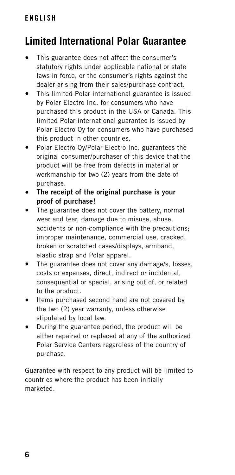## **Limited International Polar Guarantee**

- This guarantee does not affect the consumer's statutory rights under applicable national or state laws in force, or the consumer's rights against the dealer arising from their sales/purchase contract.
- This limited Polar international guarantee is issued by Polar Electro Inc. for consumers who have purchased this product in the USA or Canada. This limited Polar international guarantee is issued by Polar Electro Oy for consumers who have purchased this product in other countries.
- Polar Electro Oy/Polar Electro Inc. guarantees the original consumer/purchaser of this device that the product will be free from defects in material or workmanship for two (2) years from the date of purchase.
- **The receipt of the original purchase is your proof of purchase!**
- The guarantee does not cover the battery, normal wear and tear, damage due to misuse, abuse, accidents or non-compliance with the precautions; improper maintenance, commercial use, cracked, broken or scratched cases/displays, armband, elastic strap and Polar apparel.
- The guarantee does not cover any damage/s, losses, costs or expenses, direct, indirect or incidental, consequential or special, arising out of, or related to the product.
- Items purchased second hand are not covered by the two (2) year warranty, unless otherwise stipulated by local law.
- During the guarantee period, the product will be either repaired or replaced at any of the authorized Polar Service Centers regardless of the country of purchase.

Guarantee with respect to any product will be limited to countries where the product has been initially marketed.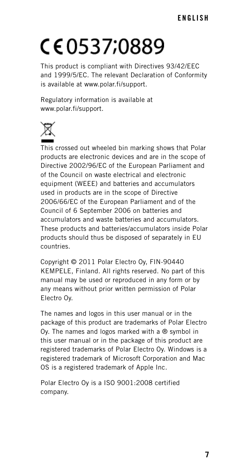# CE0537;0889

This product is compliant with Directives 93/42/EEC and 1999/5/EC. The relevant Declaration of Conformity is available at www.polar.fi/support.

Regulatory information is available at www.polar.fi/support.



This crossed out wheeled bin marking shows that Polar products are electronic devices and are in the scope of Directive 2002/96/EC of the European Parliament and of the Council on waste electrical and electronic equipment (WEEE) and batteries and accumulators used in products are in the scope of Directive 2006/66/EC of the European Parliament and of the Council of 6 September 2006 on batteries and accumulators and waste batteries and accumulators. These products and batteries/accumulators inside Polar products should thus be disposed of separately in EU countries.

Copyright © 2011 Polar Electro Oy, FIN-90440 KEMPELE, Finland. All rights reserved. No part of this manual may be used or reproduced in any form or by any means without prior written permission of Polar Electro Oy.

The names and logos in this user manual or in the package of this product are trademarks of Polar Electro Oy. The names and logos marked with a ® symbol in this user manual or in the package of this product are registered trademarks of Polar Electro Oy. Windows is a registered trademark of Microsoft Corporation and Mac OS is a registered trademark of Apple Inc.

Polar Electro Oy is a ISO 9001:2008 certified company.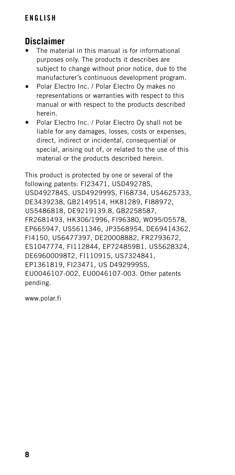#### **Disclaimer**

- The material in this manual is for informational purposes only. The products it describes are subject to change without prior notice, due to the manufacturer's continuous development program.
- Polar Electro Inc. / Polar Electro Oy makes no representations or warranties with respect to this manual or with respect to the products described herein.
- Polar Electro Inc. / Polar Electro Oy shall not be liable for any damages, losses, costs or expenses, direct, indirect or incidental, consequential or special, arising out of, or related to the use of this material or the products described herein.

This product is protected by one or several of the following patents: FI23471, USD49278S, USD492784S, USD492999S, FI68734, US4625733, DE3439238, GB2149514, HK81289, FI88972, US5486818, DE9219139.8, GB2258587, FR2681493, HK306/1996, FI96380, WO95/05578, EP665947, US5611346, JP3568954, DE69414362, FI4150, US6477397, DE20008882, FR2793672, ES1047774, FI112844, EP724859B1, US5628324, DE69600098T2, FI110915, US7324841, EP1361819, FI23471, US D492999SS, EU0046107-002, EU0046107-003. Other patents pending.

www.polar.fi